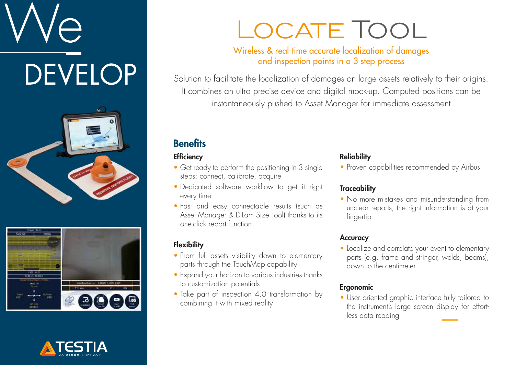# **DEVELOP**







### LOCATE TOOL

#### Wireless & real-time accurate localization of damages and inspection points in a 3 step process

Solution to facilitate the localization of damages on large assets relatively to their origins. It combines an ultra precise device and digital mock-up. Computed positions can be instantaneously pushed to Asset Manager for immediate assessment

#### **Benefits**

#### **Efficiency**

- Get ready to perform the positioning in 3 single steps: connect, calibrate, acquire
- Dedicated software workflow to get it right every time
- Fast and easy connectable results (such as Asset Manager & D-Lam Size Tool) thanks to its one-click report function

#### **Flexibility**

- From full assets visibility down to elementary parts through the TouchMap capability
- Expand your horizon to various industries thanks to customization potentials
- Take part of inspection 4.0 transformation by combining it with mixed reality

#### **Reliability**

• Proven capabilities recommended by Airbus

#### **Traceability**

• No more mistakes and misunderstanding from unclear reports, the right information is at your fingertip

#### **Accuracy**

• Localize and correlate your event to elementary parts (e.g. frame and stringer, welds, beams), down to the centimeter

#### Ergonomic

• User oriented graphic interface fully tailored to the instrument's large screen display for effortless data reading